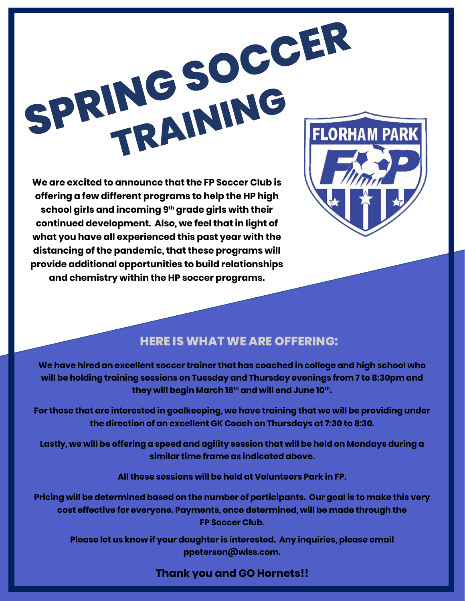

**offering a few different programs to help the HP high school girls and incoming 9th grade girls with their continued development. Also, we feel that in light of what you have all experienced this past year with the distancing of the pandemic, that these programs will provide additional opportunities to build relationships and chemistry within the HP soccer programs.**



## **HERE IS WHAT WE ARE OFFERING:**

**We have hired an excellent soccer trainer that has coached in college and high school who will be holding training sessions on Tuesday and Thursday evenings from 7 to 8:30pm and they will begin March 16th and will end June 10th.** 

**For those that are interested in goalkeeping, we have training that we will be providing under the direction of an excellent GK Coach on Thursdays at 7:30 to 8:30.**

**Lastly, we will be offering a speed and agility session that will be held on Mondays during a similar time frame as indicated above.**

**All these sessions will be held at Volunteers Park in FP.**

**Pricing will be determined based on the number of participants. Our goal is to make this very cost effective for everyone. Payments, once determined, will be made through the FP Soccer Club.**

**Please let us know if your daughter is interested. Any inquiries, please email ppeterson@wiss.com.** 

## **Thank you and GO Hornets!!**